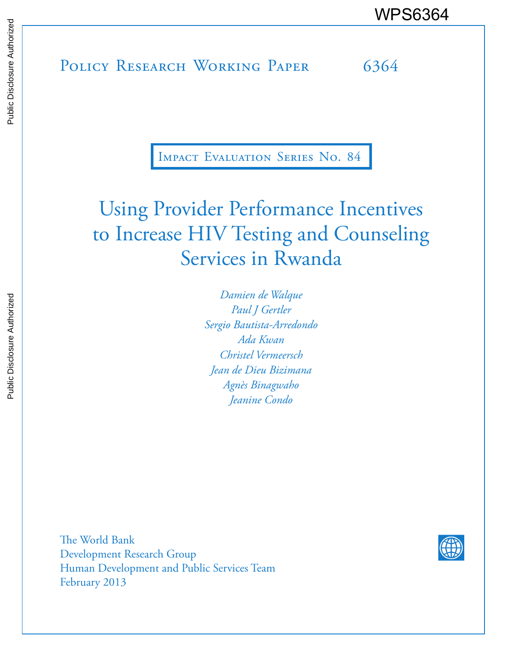# POLICY RESEARCH WORKING PAPER 6364 WPS6364<br>
MOLICY RESEARCH WORKING PAPER
FOLICY RESEARCH WORKING PAPER
FORM 0364

Impact Evaluation Series No. 84

# Using Provider Performance Incentives to Increase HIV Testing and Counseling Services in Rwanda

*Damien de Walque Paul J Gertler Sergio Bautista-Arredondo Ada Kwan Christel Vermeersch Jean de Dieu Bizimana Agnès Binagwaho Jeanine Condo*

The World Bank Development Research Group Human Development and Public Services Team February 2013

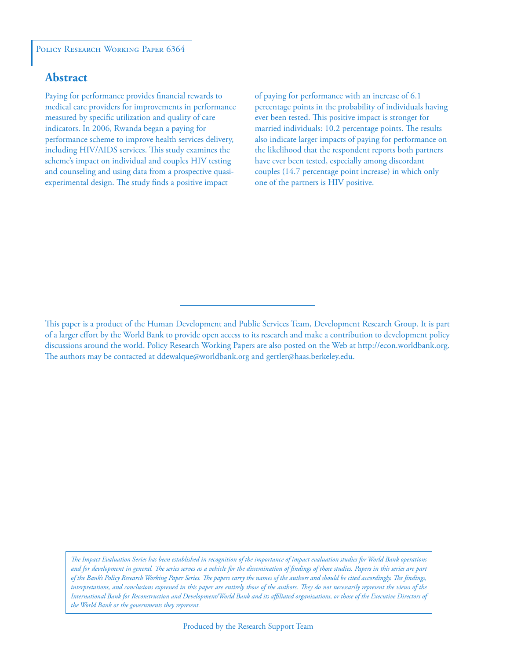#### POLICY RESEARCH WORKING PAPER 6364

## **Abstract**

Paying for performance provides financial rewards to medical care providers for improvements in performance measured by specific utilization and quality of care indicators. In 2006, Rwanda began a paying for performance scheme to improve health services delivery, including HIV/AIDS services. This study examines the scheme's impact on individual and couples HIV testing and counseling and using data from a prospective quasiexperimental design. The study finds a positive impact

of paying for performance with an increase of 6.1 percentage points in the probability of individuals having ever been tested. This positive impact is stronger for married individuals: 10.2 percentage points. The results also indicate larger impacts of paying for performance on the likelihood that the respondent reports both partners have ever been tested, especially among discordant couples (14.7 percentage point increase) in which only one of the partners is HIV positive.

This paper is a product of the Human Development and Public Services Team, Development Research Group. It is part of a larger effort by the World Bank to provide open access to its research and make a contribution to development policy discussions around the world. Policy Research Working Papers are also posted on the Web at http://econ.worldbank.org. The authors may be contacted at ddewalque@worldbank.org and gertler@haas.berkeley.edu.

*The Impact Evaluation Series has been established in recognition of the importance of impact evaluation studies for World Bank operations and for development in general. The series serves as a vehicle for the dissemination of findings of those studies. Papers in this series are part of the Bank's Policy Research Working Paper Series. The papers carry the names of the authors and should be cited accordingly. The findings, interpretations, and conclusions expressed in this paper are entirely those of the authors. They do not necessarily represent the views of the International Bank for Reconstruction and Development/World Bank and its affiliated organizations, or those of the Executive Directors of the World Bank or the governments they represent.*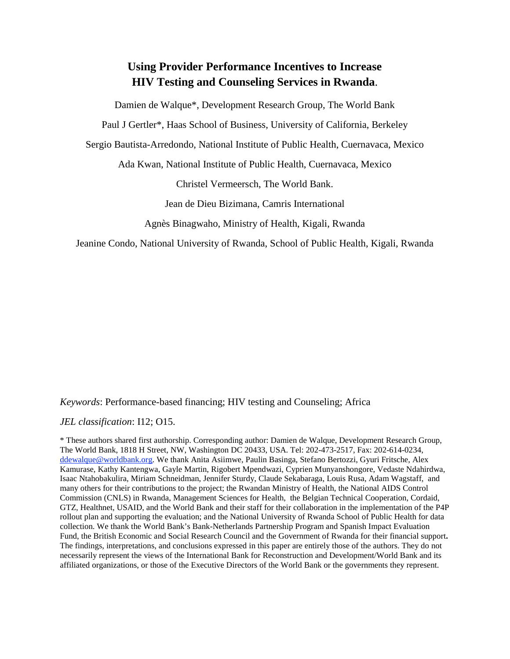# **Using Provider Performance Incentives to Increase HIV Testing and Counseling Services in Rwanda**.

Damien de Walque\*, Development Research Group, The World Bank Paul J Gertler\*, Haas School of Business, University of California, Berkeley Sergio Bautista-Arredondo, National Institute of Public Health, Cuernavaca, Mexico Ada Kwan, National Institute of Public Health, Cuernavaca, Mexico Christel Vermeersch, The World Bank. Jean de Dieu Bizimana, Camris International Agnès Binagwaho, Ministry of Health, Kigali, Rwanda

Jeanine Condo, National University of Rwanda, School of Public Health, Kigali, Rwanda

#### *Keywords*: Performance-based financing; HIV testing and Counseling; Africa

*JEL classification*: I12; O15.

\* These authors shared first authorship. Corresponding author: Damien de Walque, Development Research Group, The World Bank, 1818 H Street, NW, Washington DC 20433, USA. Tel: 202-473-2517, Fax: 202-614-0234, [ddewalque@worldbank.org.](mailto:ddewalque@worldbank.org) We thank Anita Asiimwe, Paulin Basinga, Stefano Bertozzi, Gyuri Fritsche, Alex Kamurase, Kathy Kantengwa, Gayle Martin, Rigobert Mpendwazi, Cyprien Munyanshongore, Vedaste Ndahirdwa, Isaac Ntahobakulira, Miriam Schneidman, Jennifer Sturdy, Claude Sekabaraga, Louis Rusa, Adam Wagstaff, and many others for their contributions to the project; the Rwandan Ministry of Health, the National AIDS Control Commission (CNLS) in Rwanda, Management Sciences for Health, the Belgian Technical Cooperation, Cordaid, GTZ, Healthnet, USAID, and the World Bank and their staff for their collaboration in the implementation of the P4P rollout plan and supporting the evaluation; and the National University of Rwanda School of Public Health for data collection. We thank the World Bank's Bank-Netherlands Partnership Program and Spanish Impact Evaluation Fund, the British Economic and Social Research Council and the Government of Rwanda for their financial support**.**  The findings, interpretations, and conclusions expressed in this paper are entirely those of the authors. They do not necessarily represent the views of the International Bank for Reconstruction and Development/World Bank and its affiliated organizations, or those of the Executive Directors of the World Bank or the governments they represent.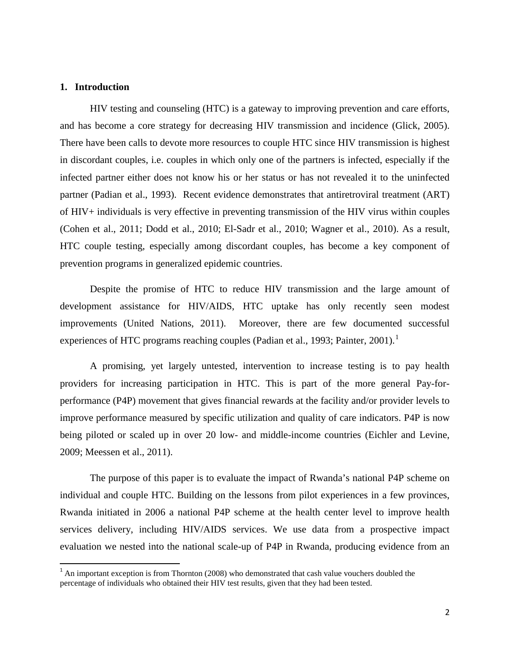#### **1. Introduction**

 $\overline{\phantom{a}}$ 

HIV testing and counseling (HTC) is a gateway to improving prevention and care efforts, and has become a core strategy for decreasing HIV transmission and incidence [\(Glick, 2005\)](#page-16-0). There have been calls to devote more resources to couple HTC since HIV transmission is highest in discordant couples, i.e. couples in which only one of the partners is infected, especially if the infected partner either does not know his or her status or has not revealed it to the uninfected partner [\(Padian et al., 1993\)](#page-16-1). Recent evidence demonstrates that antiretroviral treatment (ART) of HIV+ individuals is very effective in preventing transmission of the HIV virus within couples [\(Cohen et al., 2011;](#page-15-0) [Dodd et al., 2010;](#page-15-1) [El-Sadr et al., 2010;](#page-15-2) [Wagner et al., 2010\)](#page-17-0). As a result, HTC couple testing, especially among discordant couples, has become a key component of prevention programs in generalized epidemic countries.

Despite the promise of HTC to reduce HIV transmission and the large amount of development assistance for HIV/AIDS, HTC uptake has only recently seen modest improvements [\(United Nations, 2011\)](#page-17-1). Moreover, there are few documented successful experiences of HTC programs reaching couples [\(Padian et al., 1993;](#page-16-1) [Painter, 2001\)](#page-16-2).<sup>[1](#page-3-0)</sup>

A promising, yet largely untested, intervention to increase testing is to pay health providers for increasing participation in HTC. This is part of the more general Pay-forperformance (P4P) movement that gives financial rewards at the facility and/or provider levels to improve performance measured by specific utilization and quality of care indicators. P4P is now being piloted or scaled up in over 20 low- and middle-income countries [\(Eichler and Levine,](#page-15-3)  [2009;](#page-15-3) [Meessen et al., 2011\)](#page-16-3).

The purpose of this paper is to evaluate the impact of Rwanda's national P4P scheme on individual and couple HTC. Building on the lessons from pilot experiences in a few provinces, Rwanda initiated in 2006 a national P4P scheme at the health center level to improve health services delivery, including HIV/AIDS services. We use data from a prospective impact evaluation we nested into the national scale-up of P4P in Rwanda, producing evidence from an

<span id="page-3-0"></span> $1$  An important exception is from [Thornton \(2008\)](#page-17-2) who demonstrated that cash value vouchers doubled the percentage of individuals who obtained their HIV test results, given that they had been tested.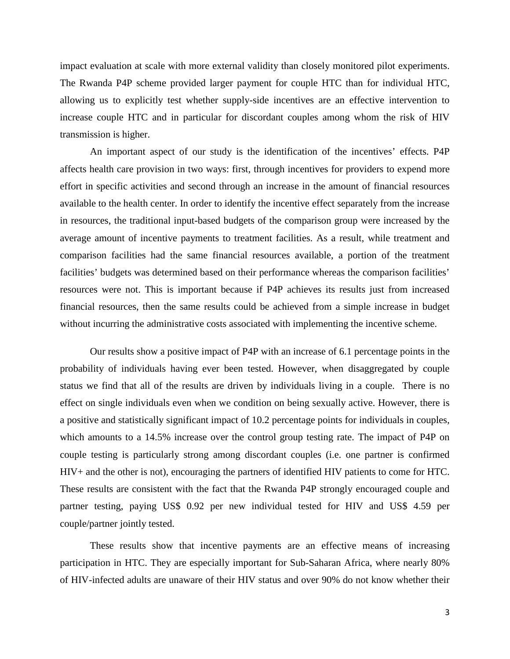impact evaluation at scale with more external validity than closely monitored pilot experiments. The Rwanda P4P scheme provided larger payment for couple HTC than for individual HTC, allowing us to explicitly test whether supply-side incentives are an effective intervention to increase couple HTC and in particular for discordant couples among whom the risk of HIV transmission is higher.

An important aspect of our study is the identification of the incentives' effects. P4P affects health care provision in two ways: first, through incentives for providers to expend more effort in specific activities and second through an increase in the amount of financial resources available to the health center. In order to identify the incentive effect separately from the increase in resources, the traditional input-based budgets of the comparison group were increased by the average amount of incentive payments to treatment facilities. As a result, while treatment and comparison facilities had the same financial resources available, a portion of the treatment facilities' budgets was determined based on their performance whereas the comparison facilities' resources were not. This is important because if P4P achieves its results just from increased financial resources, then the same results could be achieved from a simple increase in budget without incurring the administrative costs associated with implementing the incentive scheme.

Our results show a positive impact of P4P with an increase of 6.1 percentage points in the probability of individuals having ever been tested. However, when disaggregated by couple status we find that all of the results are driven by individuals living in a couple. There is no effect on single individuals even when we condition on being sexually active. However, there is a positive and statistically significant impact of 10.2 percentage points for individuals in couples, which amounts to a 14.5% increase over the control group testing rate. The impact of P4P on couple testing is particularly strong among discordant couples (i.e. one partner is confirmed HIV+ and the other is not), encouraging the partners of identified HIV patients to come for HTC. These results are consistent with the fact that the Rwanda P4P strongly encouraged couple and partner testing, paying US\$ 0.92 per new individual tested for HIV and US\$ 4.59 per couple/partner jointly tested.

These results show that incentive payments are an effective means of increasing participation in HTC. They are especially important for Sub-Saharan Africa, where nearly 80% of HIV-infected adults are unaware of their HIV status and over 90% do not know whether their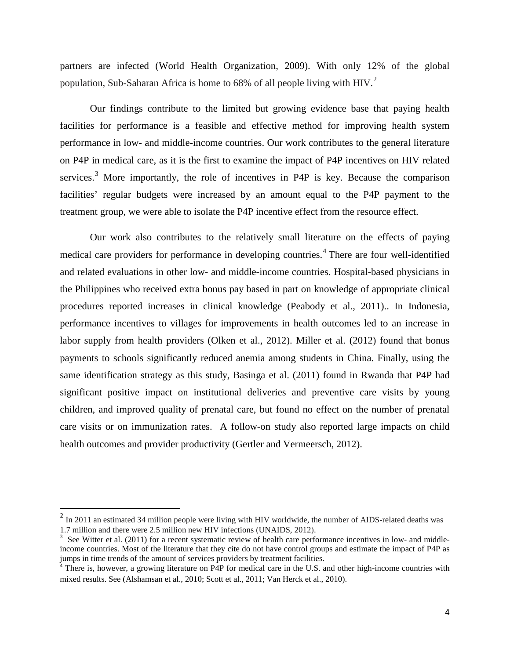partners are infected [\(World Health Organization, 2009\)](#page-17-3). With only 12% of the global population, Sub-Saharan Africa is home to 68% of all people living with HIV.<sup>[2](#page-5-0)</sup>

Our findings contribute to the limited but growing evidence base that paying health facilities for performance is a feasible and effective method for improving health system performance in low- and middle-income countries. Our work contributes to the general literature on P4P in medical care, as it is the first to examine the impact of P4P incentives on HIV related services.<sup>[3](#page-5-1)</sup> More importantly, the role of incentives in P4P is key. Because the comparison facilities' regular budgets were increased by an amount equal to the P4P payment to the treatment group, we were able to isolate the P4P incentive effect from the resource effect.

Our work also contributes to the relatively small literature on the effects of paying medical care providers for performance in developing countries.<sup>[4](#page-5-2)</sup> There are four well-identified and related evaluations in other low- and middle-income countries. Hospital-based physicians in the Philippines who received extra bonus pay based in part on knowledge of appropriate clinical procedures reported increases in clinical knowledge (Peabody et al., 2011).. In Indonesia, performance incentives to villages for improvements in health outcomes led to an increase in labor supply from health providers [\(Olken et al., 2012\)](#page-16-4). [Miller et al. \(2012\)](#page-16-5) found that bonus payments to schools significantly reduced anemia among students in China. Finally, using the same identification strategy as this study, [Basinga et al. \(2011\)](#page-15-4) found in Rwanda that P4P had significant positive impact on institutional deliveries and preventive care visits by young children, and improved quality of prenatal care, but found no effect on the number of prenatal care visits or on immunization rates. A follow-on study also reported large impacts on child health outcomes and provider productivity [\(Gertler and Vermeersch, 2012\)](#page-16-6).

 $\overline{\phantom{a}}$ 

<span id="page-5-0"></span><sup>&</sup>lt;sup>2</sup> In 2011 an estimated 34 million people were living with HIV worldwide, the number of AIDS-related deaths was 1.7 million and there were 2.5 million new HIV infections [\(UNAIDS, 2012\)](#page-17-4).

<span id="page-5-1"></span> $3$  See [Witter et al. \(2011\)](#page-17-5) for a recent systematic review of health care performance incentives in low- and middleincome countries. Most of the literature that they cite do not have control groups and estimate the impact of P4P as jumps in time trends of the amount of services providers by treatment facilities. <sup>4</sup> There is, however, a growing literature on P4P for medical care in the U.S. and other high-income countries with

<span id="page-5-2"></span>mixed results. See [\(Alshamsan et al., 2010;](#page-15-5) [Scott et al., 2011;](#page-17-6) [Van Herck et al., 2010\)](#page-17-7).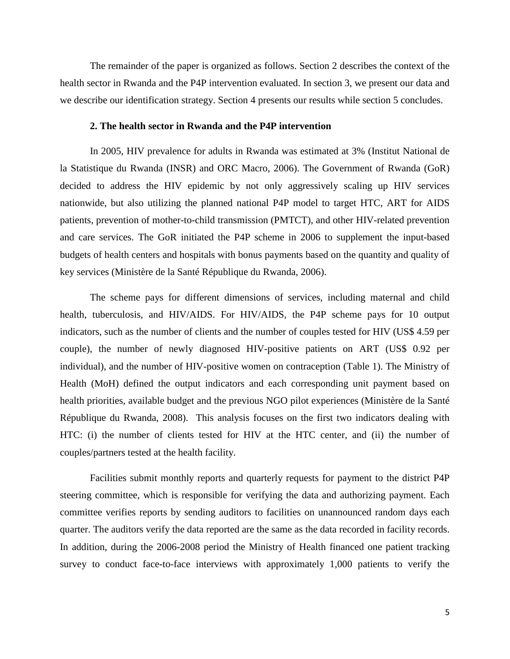The remainder of the paper is organized as follows. Section 2 describes the context of the health sector in Rwanda and the P4P intervention evaluated. In section 3, we present our data and we describe our identification strategy. Section 4 presents our results while section 5 concludes.

#### **2. The health sector in Rwanda and the P4P intervention**

In 2005, HIV prevalence for adults in Rwanda was estimated at 3% [\(Institut National de](#page-16-7)  [la Statistique du Rwanda \(INSR\) and ORC Macro, 2006\)](#page-16-7). The Government of Rwanda (GoR) decided to address the HIV epidemic by not only aggressively scaling up HIV services nationwide, but also utilizing the planned national P4P model to target HTC, ART for AIDS patients, prevention of mother-to-child transmission (PMTCT), and other HIV-related prevention and care services. The GoR initiated the P4P scheme in 2006 to supplement the input-based budgets of health centers and hospitals with bonus payments based on the quantity and quality of key services [\(Ministère de la Santé République du Rwanda, 2006\)](#page-16-8).

The scheme pays for different dimensions of services, including maternal and child health, tuberculosis, and HIV/AIDS. For HIV/AIDS, the P4P scheme pays for 10 output indicators, such as the number of clients and the number of couples tested for HIV (US\$ 4.59 per couple), the number of newly diagnosed HIV-positive patients on ART (US\$ 0.92 per individual), and the number of HIV-positive women on contraception (Table 1). The Ministry of Health (MoH) defined the output indicators and each corresponding unit payment based on health priorities, available budget and the previous NGO pilot experiences [\(Ministère de la Santé](#page-16-9)  [République du Rwanda, 2008\)](#page-16-9). This analysis focuses on the first two indicators dealing with HTC: (i) the number of clients tested for HIV at the HTC center, and (ii) the number of couples/partners tested at the health facility.

Facilities submit monthly reports and quarterly requests for payment to the district P4P steering committee, which is responsible for verifying the data and authorizing payment. Each committee verifies reports by sending auditors to facilities on unannounced random days each quarter. The auditors verify the data reported are the same as the data recorded in facility records. In addition, during the 2006-2008 period the Ministry of Health financed one patient tracking survey to conduct face-to-face interviews with approximately 1,000 patients to verify the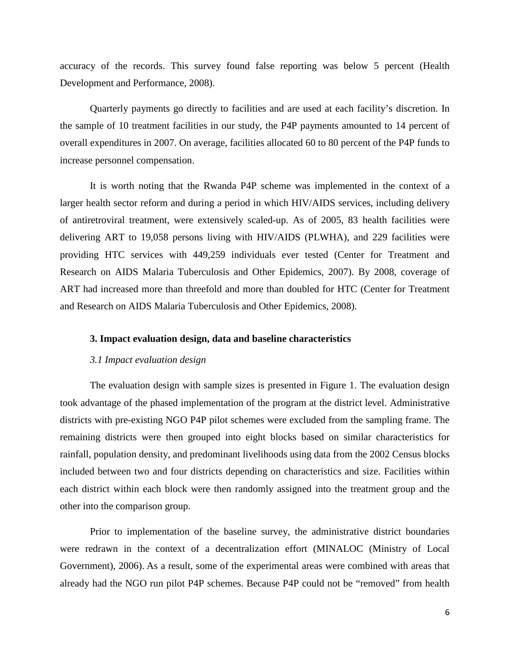accuracy of the records. This survey found false reporting was below 5 percent [\(Health](#page-16-10)  [Development and Performance, 2008\)](#page-16-10).

Quarterly payments go directly to facilities and are used at each facility's discretion. In the sample of 10 treatment facilities in our study, the P4P payments amounted to 14 percent of overall expenditures in 2007. On average, facilities allocated 60 to 80 percent of the P4P funds to increase personnel compensation.

It is worth noting that the Rwanda P4P scheme was implemented in the context of a larger health sector reform and during a period in which HIV/AIDS services, including delivery of antiretroviral treatment, were extensively scaled-up. As of 2005, 83 health facilities were delivering ART to 19,058 persons living with HIV/AIDS (PLWHA), and 229 facilities were providing HTC services with 449,259 individuals ever tested [\(Center for Treatment and](#page-15-6)  [Research on AIDS Malaria Tuberculosis and Other Epidemics, 2007\)](#page-15-6). By 2008, coverage of ART had increased more than threefold and more than doubled for HTC [\(Center for Treatment](#page-15-7)  [and Research on AIDS Malaria Tuberculosis and Other Epidemics, 2008\)](#page-15-7).

#### **3. Impact evaluation design, data and baseline characteristics**

#### *3.1 Impact evaluation design*

The evaluation design with sample sizes is presented in Figure 1. The evaluation design took advantage of the phased implementation of the program at the district level. Administrative districts with pre-existing NGO P4P pilot schemes were excluded from the sampling frame. The remaining districts were then grouped into eight blocks based on similar characteristics for rainfall, population density, and predominant livelihoods using data from the 2002 Census blocks included between two and four districts depending on characteristics and size. Facilities within each district within each block were then randomly assigned into the treatment group and the other into the comparison group.

Prior to implementation of the baseline survey, the administrative district boundaries were redrawn in the context of a decentralization effort [\(MINALOC \(Ministry of Local](#page-16-11)  [Government\), 2006\)](#page-16-11). As a result, some of the experimental areas were combined with areas that already had the NGO run pilot P4P schemes. Because P4P could not be "removed" from health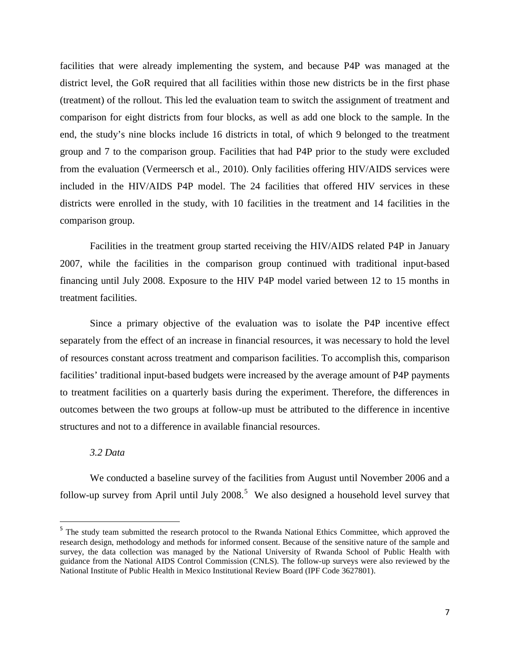facilities that were already implementing the system, and because P4P was managed at the district level, the GoR required that all facilities within those new districts be in the first phase (treatment) of the rollout. This led the evaluation team to switch the assignment of treatment and comparison for eight districts from four blocks, as well as add one block to the sample. In the end, the study's nine blocks include 16 districts in total, of which 9 belonged to the treatment group and 7 to the comparison group. Facilities that had P4P prior to the study were excluded from the evaluation [\(Vermeersch et al., 2010\)](#page-17-8). Only facilities offering HIV/AIDS services were included in the HIV/AIDS P4P model. The 24 facilities that offered HIV services in these districts were enrolled in the study, with 10 facilities in the treatment and 14 facilities in the comparison group.

Facilities in the treatment group started receiving the HIV/AIDS related P4P in January 2007, while the facilities in the comparison group continued with traditional input-based financing until July 2008. Exposure to the HIV P4P model varied between 12 to 15 months in treatment facilities.

Since a primary objective of the evaluation was to isolate the P4P incentive effect separately from the effect of an increase in financial resources, it was necessary to hold the level of resources constant across treatment and comparison facilities. To accomplish this, comparison facilities' traditional input-based budgets were increased by the average amount of P4P payments to treatment facilities on a quarterly basis during the experiment. Therefore, the differences in outcomes between the two groups at follow-up must be attributed to the difference in incentive structures and not to a difference in available financial resources.

#### *3.2 Data*

 $\overline{\phantom{a}}$ 

We conducted a baseline survey of the facilities from August until November 2006 and a follow-up survey from April until July  $2008$ .<sup>[5](#page-8-0)</sup> We also designed a household level survey that

<span id="page-8-0"></span><sup>&</sup>lt;sup>5</sup> The study team submitted the research protocol to the Rwanda National Ethics Committee, which approved the research design, methodology and methods for informed consent. Because of the sensitive nature of the sample and survey, the data collection was managed by the National University of Rwanda School of Public Health with guidance from the National AIDS Control Commission (CNLS). The follow-up surveys were also reviewed by the National Institute of Public Health in Mexico Institutional Review Board (IPF Code 3627801).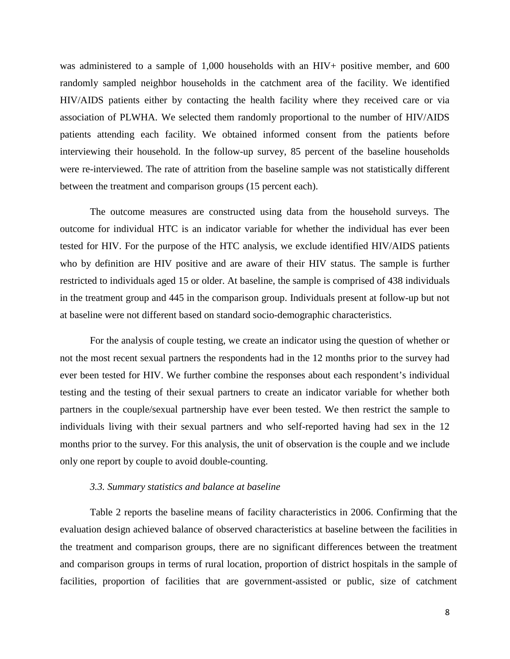was administered to a sample of 1,000 households with an HIV+ positive member, and 600 randomly sampled neighbor households in the catchment area of the facility. We identified HIV/AIDS patients either by contacting the health facility where they received care or via association of PLWHA. We selected them randomly proportional to the number of HIV/AIDS patients attending each facility. We obtained informed consent from the patients before interviewing their household. In the follow-up survey, 85 percent of the baseline households were re-interviewed. The rate of attrition from the baseline sample was not statistically different between the treatment and comparison groups (15 percent each).

The outcome measures are constructed using data from the household surveys. The outcome for individual HTC is an indicator variable for whether the individual has ever been tested for HIV. For the purpose of the HTC analysis, we exclude identified HIV/AIDS patients who by definition are HIV positive and are aware of their HIV status. The sample is further restricted to individuals aged 15 or older. At baseline, the sample is comprised of 438 individuals in the treatment group and 445 in the comparison group. Individuals present at follow-up but not at baseline were not different based on standard socio-demographic characteristics.

For the analysis of couple testing, we create an indicator using the question of whether or not the most recent sexual partners the respondents had in the 12 months prior to the survey had ever been tested for HIV. We further combine the responses about each respondent's individual testing and the testing of their sexual partners to create an indicator variable for whether both partners in the couple/sexual partnership have ever been tested. We then restrict the sample to individuals living with their sexual partners and who self-reported having had sex in the 12 months prior to the survey. For this analysis, the unit of observation is the couple and we include only one report by couple to avoid double-counting.

#### *3.3. Summary statistics and balance at baseline*

Table 2 reports the baseline means of facility characteristics in 2006. Confirming that the evaluation design achieved balance of observed characteristics at baseline between the facilities in the treatment and comparison groups, there are no significant differences between the treatment and comparison groups in terms of rural location, proportion of district hospitals in the sample of facilities, proportion of facilities that are government-assisted or public, size of catchment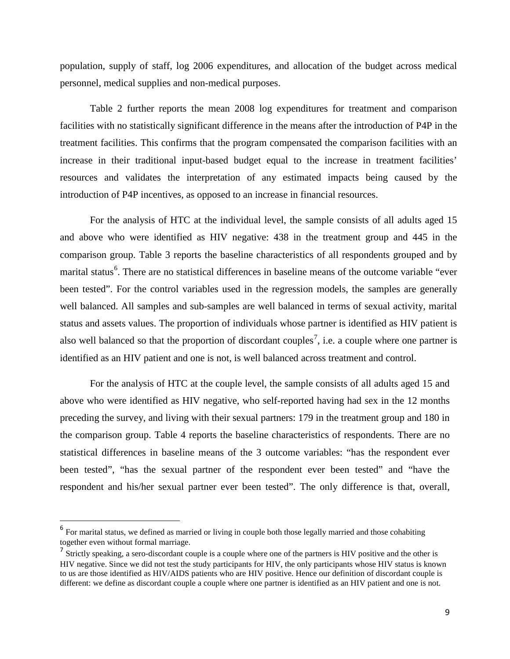population, supply of staff, log 2006 expenditures, and allocation of the budget across medical personnel, medical supplies and non-medical purposes.

Table 2 further reports the mean 2008 log expenditures for treatment and comparison facilities with no statistically significant difference in the means after the introduction of P4P in the treatment facilities. This confirms that the program compensated the comparison facilities with an increase in their traditional input-based budget equal to the increase in treatment facilities' resources and validates the interpretation of any estimated impacts being caused by the introduction of P4P incentives, as opposed to an increase in financial resources.

For the analysis of HTC at the individual level, the sample consists of all adults aged 15 and above who were identified as HIV negative: 438 in the treatment group and 445 in the comparison group. Table 3 reports the baseline characteristics of all respondents grouped and by marital status<sup>[6](#page-10-0)</sup>. There are no statistical differences in baseline means of the outcome variable "ever been tested". For the control variables used in the regression models, the samples are generally well balanced. All samples and sub-samples are well balanced in terms of sexual activity, marital status and assets values. The proportion of individuals whose partner is identified as HIV patient is also well balanced so that the proportion of discordant couples<sup>[7](#page-10-1)</sup>, i.e. a couple where one partner is identified as an HIV patient and one is not, is well balanced across treatment and control.

For the analysis of HTC at the couple level, the sample consists of all adults aged 15 and above who were identified as HIV negative, who self-reported having had sex in the 12 months preceding the survey, and living with their sexual partners: 179 in the treatment group and 180 in the comparison group. Table 4 reports the baseline characteristics of respondents. There are no statistical differences in baseline means of the 3 outcome variables: "has the respondent ever been tested", "has the sexual partner of the respondent ever been tested" and "have the respondent and his/her sexual partner ever been tested". The only difference is that, overall,

l

<span id="page-10-0"></span><sup>&</sup>lt;sup>6</sup> For marital status, we defined as married or living in couple both those legally married and those cohabiting together even without formal marriage.

<span id="page-10-1"></span> $<sup>7</sup>$  Strictly speaking, a sero-discordant couple is a couple where one of the partners is HIV positive and the other is</sup> HIV negative. Since we did not test the study participants for HIV, the only participants whose HIV status is known to us are those identified as HIV/AIDS patients who are HIV positive. Hence our definition of discordant couple is different: we define as discordant couple a couple where one partner is identified as an HIV patient and one is not.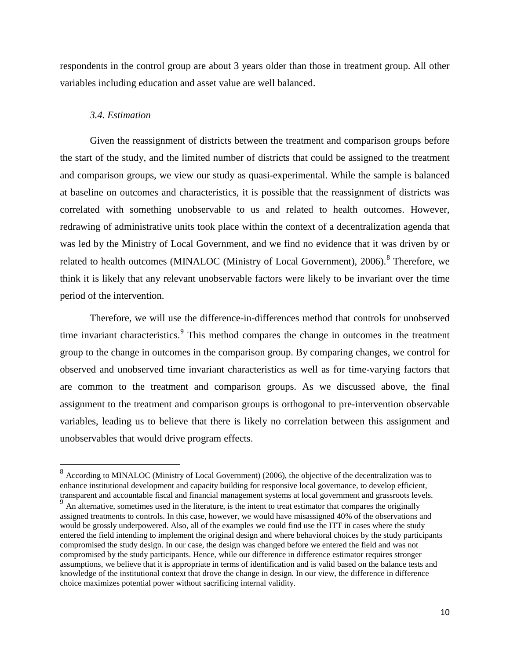respondents in the control group are about 3 years older than those in treatment group. All other variables including education and asset value are well balanced.

#### *3.4. Estimation*

 $\overline{\phantom{a}}$ 

Given the reassignment of districts between the treatment and comparison groups before the start of the study, and the limited number of districts that could be assigned to the treatment and comparison groups, we view our study as quasi-experimental. While the sample is balanced at baseline on outcomes and characteristics, it is possible that the reassignment of districts was correlated with something unobservable to us and related to health outcomes. However, redrawing of administrative units took place within the context of a decentralization agenda that was led by the Ministry of Local Government, and we find no evidence that it was driven by or related to health outcomes [\(MINALOC \(Ministry of Local Government\), 2006\)](#page-16-11).<sup>[8](#page-11-0)</sup> Therefore, we think it is likely that any relevant unobservable factors were likely to be invariant over the time period of the intervention.

Therefore, we will use the difference-in-differences method that controls for unobserved time invariant characteristics.<sup>[9](#page-11-1)</sup> This method compares the change in outcomes in the treatment group to the change in outcomes in the comparison group. By comparing changes, we control for observed and unobserved time invariant characteristics as well as for time-varying factors that are common to the treatment and comparison groups. As we discussed above, the final assignment to the treatment and comparison groups is orthogonal to pre-intervention observable variables, leading us to believe that there is likely no correlation between this assignment and unobservables that would drive program effects.

<span id="page-11-0"></span><sup>8</sup> According to [MINALOC \(Ministry of Local Government\) \(2006\)](#page-16-11), the objective of the decentralization was to enhance institutional development and capacity building for responsive local governance, to develop efficient, transparent and accountable fiscal and financial management systems at local government and grassroots levels.

<span id="page-11-1"></span><sup>&</sup>lt;sup>9</sup> An alternative, sometimes used in the literature, is the intent to treat estimator that compares the originally assigned treatments to controls. In this case, however, we would have misassigned 40% of the observations and would be grossly underpowered. Also, all of the examples we could find use the ITT in cases where the study entered the field intending to implement the original design and where behavioral choices by the study participants compromised the study design. In our case, the design was changed before we entered the field and was not compromised by the study participants. Hence, while our difference in difference estimator requires stronger assumptions, we believe that it is appropriate in terms of identification and is valid based on the balance tests and knowledge of the institutional context that drove the change in design. In our view, the difference in difference choice maximizes potential power without sacrificing internal validity.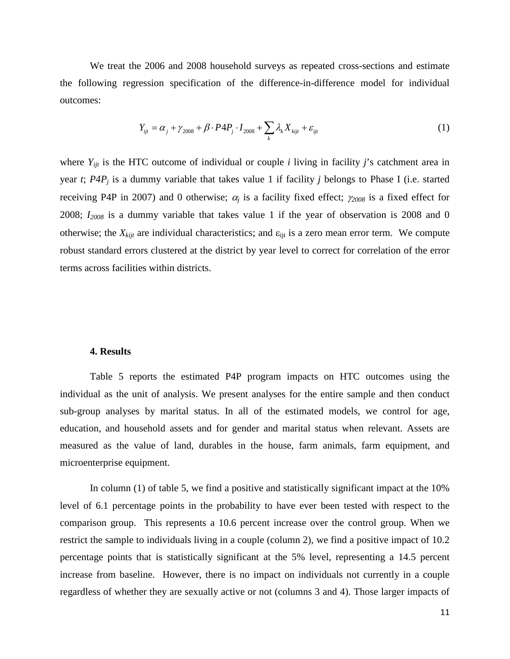We treat the 2006 and 2008 household surveys as repeated cross-sections and estimate the following regression specification of the difference-in-difference model for individual outcomes:

$$
Y_{ijt} = \alpha_j + \gamma_{2008} + \beta \cdot P4P_j \cdot I_{2008} + \sum_k \lambda_k X_{kijt} + \varepsilon_{ijt}
$$
 (1)

where *Yijt* is the HTC outcome of individual or couple *i* living in facility *j*'s catchment area in year *t*; *P4Pj* is a dummy variable that takes value 1 if facility *j* belongs to Phase I (i.e. started receiving P4P in 2007) and 0 otherwise;  $\alpha_i$  is a facility fixed effect;  $\gamma_{2008}$  is a fixed effect for 2008; *I2008* is a dummy variable that takes value 1 if the year of observation is 2008 and 0 otherwise; the  $X_{kijt}$  are individual characteristics; and  $\varepsilon_{ijk}$  is a zero mean error term. We compute robust standard errors clustered at the district by year level to correct for correlation of the error terms across facilities within districts.

#### **4. Results**

Table 5 reports the estimated P4P program impacts on HTC outcomes using the individual as the unit of analysis. We present analyses for the entire sample and then conduct sub-group analyses by marital status. In all of the estimated models, we control for age, education, and household assets and for gender and marital status when relevant. Assets are measured as the value of land, durables in the house, farm animals, farm equipment, and microenterprise equipment.

In column (1) of table 5, we find a positive and statistically significant impact at the 10% level of 6.1 percentage points in the probability to have ever been tested with respect to the comparison group. This represents a 10.6 percent increase over the control group. When we restrict the sample to individuals living in a couple (column 2), we find a positive impact of 10.2 percentage points that is statistically significant at the 5% level, representing a 14.5 percent increase from baseline. However, there is no impact on individuals not currently in a couple regardless of whether they are sexually active or not (columns 3 and 4). Those larger impacts of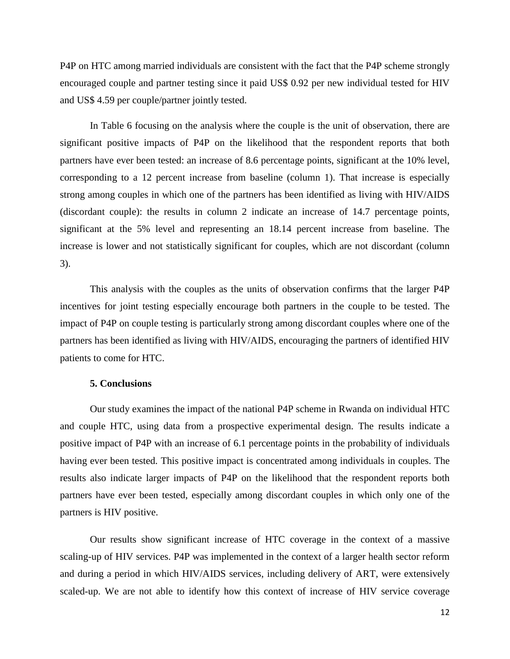P4P on HTC among married individuals are consistent with the fact that the P4P scheme strongly encouraged couple and partner testing since it paid US\$ 0.92 per new individual tested for HIV and US\$ 4.59 per couple/partner jointly tested.

In Table 6 focusing on the analysis where the couple is the unit of observation, there are significant positive impacts of P4P on the likelihood that the respondent reports that both partners have ever been tested: an increase of 8.6 percentage points, significant at the 10% level, corresponding to a 12 percent increase from baseline (column 1). That increase is especially strong among couples in which one of the partners has been identified as living with HIV/AIDS (discordant couple): the results in column 2 indicate an increase of 14.7 percentage points, significant at the 5% level and representing an 18.14 percent increase from baseline. The increase is lower and not statistically significant for couples, which are not discordant (column 3).

This analysis with the couples as the units of observation confirms that the larger P4P incentives for joint testing especially encourage both partners in the couple to be tested. The impact of P4P on couple testing is particularly strong among discordant couples where one of the partners has been identified as living with HIV/AIDS, encouraging the partners of identified HIV patients to come for HTC.

#### **5. Conclusions**

Our study examines the impact of the national P4P scheme in Rwanda on individual HTC and couple HTC, using data from a prospective experimental design. The results indicate a positive impact of P4P with an increase of 6.1 percentage points in the probability of individuals having ever been tested. This positive impact is concentrated among individuals in couples. The results also indicate larger impacts of P4P on the likelihood that the respondent reports both partners have ever been tested, especially among discordant couples in which only one of the partners is HIV positive.

Our results show significant increase of HTC coverage in the context of a massive scaling-up of HIV services. P4P was implemented in the context of a larger health sector reform and during a period in which HIV/AIDS services, including delivery of ART, were extensively scaled-up. We are not able to identify how this context of increase of HIV service coverage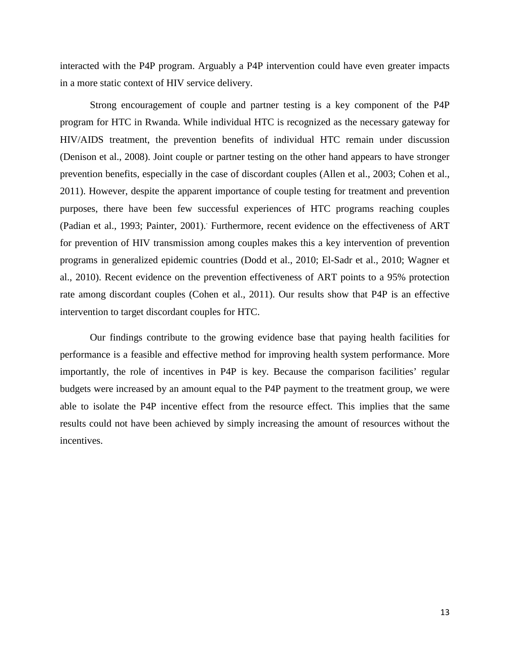interacted with the P4P program. Arguably a P4P intervention could have even greater impacts in a more static context of HIV service delivery.

Strong encouragement of couple and partner testing is a key component of the P4P program for HTC in Rwanda. While individual HTC is recognized as the necessary gateway for HIV/AIDS treatment, the prevention benefits of individual HTC remain under discussion [\(Denison et al., 2008\)](#page-15-8). Joint couple or partner testing on the other hand appears to have stronger prevention benefits, especially in the case of discordant couples [\(Allen et al., 2003;](#page-15-9) [Cohen et al.,](#page-15-0)  [2011\)](#page-15-0). However, despite the apparent importance of couple testing for treatment and prevention purposes, there have been few successful experiences of HTC programs reaching couples [\(Padian et al., 1993;](#page-16-1) [Painter, 2001\)](#page-16-2). Furthermore, recent evidence on the effectiveness of ART for prevention of HIV transmission among couples makes this a key intervention of prevention programs in generalized epidemic countries [\(Dodd et al., 2010;](#page-15-1) [El-Sadr et al., 2010;](#page-15-2) [Wagner et](#page-17-0)  [al., 2010\)](#page-17-0). Recent evidence on the prevention effectiveness of ART points to a 95% protection rate among discordant couples [\(Cohen et al., 2011\)](#page-15-0). Our results show that P4P is an effective intervention to target discordant couples for HTC.

Our findings contribute to the growing evidence base that paying health facilities for performance is a feasible and effective method for improving health system performance. More importantly, the role of incentives in P4P is key. Because the comparison facilities' regular budgets were increased by an amount equal to the P4P payment to the treatment group, we were able to isolate the P4P incentive effect from the resource effect. This implies that the same results could not have been achieved by simply increasing the amount of resources without the incentives.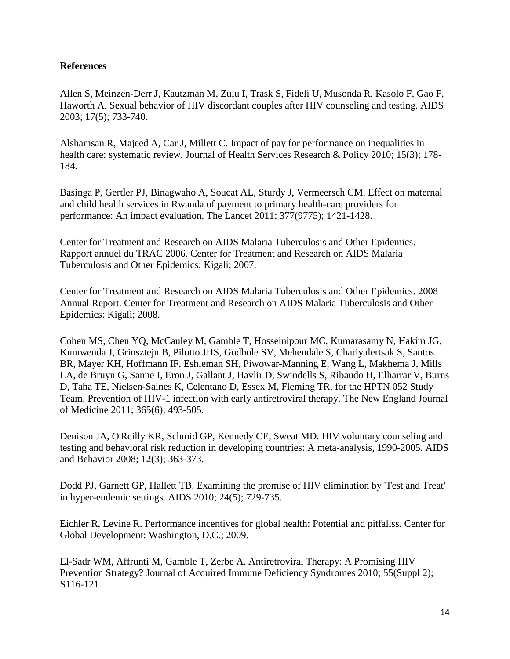### **References**

<span id="page-15-9"></span>Allen S, Meinzen-Derr J, Kautzman M, Zulu I, Trask S, Fideli U, Musonda R, Kasolo F, Gao F, Haworth A. Sexual behavior of HIV discordant couples after HIV counseling and testing. AIDS 2003; 17(5); 733-740.

<span id="page-15-5"></span>Alshamsan R, Majeed A, Car J, Millett C. Impact of pay for performance on inequalities in health care: systematic review. Journal of Health Services Research & Policy 2010; 15(3); 178-184.

<span id="page-15-4"></span>Basinga P, Gertler PJ, Binagwaho A, Soucat AL, Sturdy J, Vermeersch CM. Effect on maternal and child health services in Rwanda of payment to primary health-care providers for performance: An impact evaluation. The Lancet 2011; 377(9775); 1421-1428.

<span id="page-15-6"></span>Center for Treatment and Research on AIDS Malaria Tuberculosis and Other Epidemics. Rapport annuel du TRAC 2006. Center for Treatment and Research on AIDS Malaria Tuberculosis and Other Epidemics: Kigali; 2007.

<span id="page-15-7"></span>Center for Treatment and Research on AIDS Malaria Tuberculosis and Other Epidemics. 2008 Annual Report. Center for Treatment and Research on AIDS Malaria Tuberculosis and Other Epidemics: Kigali; 2008.

<span id="page-15-0"></span>Cohen MS, Chen YQ, McCauley M, Gamble T, Hosseinipour MC, Kumarasamy N, Hakim JG, Kumwenda J, Grinsztejn B, Pilotto JHS, Godbole SV, Mehendale S, Chariyalertsak S, Santos BR, Mayer KH, Hoffmann IF, Eshleman SH, Piwowar-Manning E, Wang L, Makhema J, Mills LA, de Bruyn G, Sanne I, Eron J, Gallant J, Havlir D, Swindells S, Ribaudo H, Elharrar V, Burns D, Taha TE, Nielsen-Saines K, Celentano D, Essex M, Fleming TR, for the HPTN 052 Study Team. Prevention of HIV-1 infection with early antiretroviral therapy. The New England Journal of Medicine 2011; 365(6); 493-505.

<span id="page-15-8"></span>Denison JA, O'Reilly KR, Schmid GP, Kennedy CE, Sweat MD. HIV voluntary counseling and testing and behavioral risk reduction in developing countries: A meta-analysis, 1990-2005. AIDS and Behavior 2008; 12(3); 363-373.

<span id="page-15-1"></span>Dodd PJ, Garnett GP, Hallett TB. Examining the promise of HIV elimination by 'Test and Treat' in hyper-endemic settings. AIDS 2010; 24(5); 729-735.

<span id="page-15-3"></span>Eichler R, Levine R. Performance incentives for global health: Potential and pitfallss. Center for Global Development: Washington, D.C.; 2009.

<span id="page-15-2"></span>El-Sadr WM, Affrunti M, Gamble T, Zerbe A. Antiretroviral Therapy: A Promising HIV Prevention Strategy? Journal of Acquired Immune Deficiency Syndromes 2010; 55(Suppl 2); S116-121.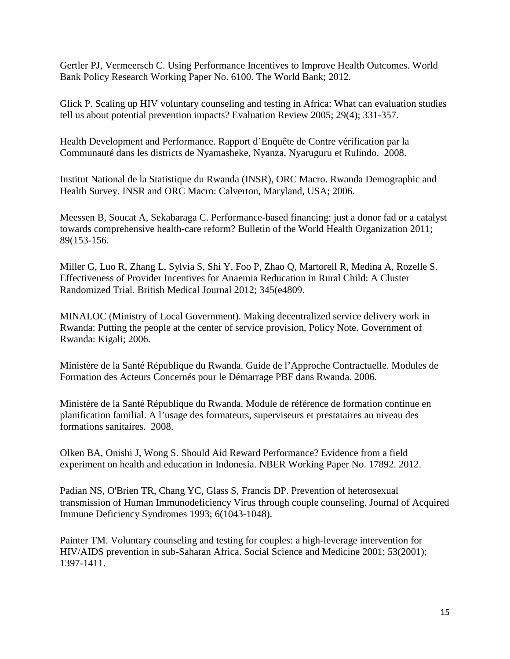<span id="page-16-6"></span>Gertler PJ, Vermeersch C. Using Performance Incentives to Improve Health Outcomes. World Bank Policy Research Working Paper No. 6100. The World Bank; 2012.

<span id="page-16-0"></span>Glick P. Scaling up HIV voluntary counseling and testing in Africa: What can evaluation studies tell us about potential prevention impacts? Evaluation Review 2005; 29(4); 331-357.

<span id="page-16-10"></span>Health Development and Performance. Rapport d'Enquête de Contre vérification par la Communauté dans les districts de Nyamasheke, Nyanza, Nyaruguru et Rulindo. 2008.

<span id="page-16-7"></span>Institut National de la Statistique du Rwanda (INSR), ORC Macro. Rwanda Demographic and Health Survey. INSR and ORC Macro: Calverton, Maryland, USA; 2006.

<span id="page-16-3"></span>Meessen B, Soucat A, Sekabaraga C. Performance-based financing: just a donor fad or a catalyst towards comprehensive health-care reform? Bulletin of the World Health Organization 2011; 89(153-156.

<span id="page-16-5"></span>Miller G, Luo R, Zhang L, Sylvia S, Shi Y, Foo P, Zhao Q, Martorell R, Medina A, Rozelle S. Effectiveness of Provider Incentives for Anaemia Reducation in Rural Child: A Cluster Randomized Trial. British Medical Journal 2012; 345(e4809.

<span id="page-16-11"></span>MINALOC (Ministry of Local Government). Making decentralized service delivery work in Rwanda: Putting the people at the center of service provision, Policy Note. Government of Rwanda: Kigali; 2006.

<span id="page-16-8"></span>Ministère de la Santé République du Rwanda. Guide de l'Approche Contractuelle. Modules de Formation des Acteurs Concernés pour le Démarrage PBF dans Rwanda. 2006.

<span id="page-16-9"></span>Ministère de la Santé République du Rwanda. Module de référence de formation continue en planification familial. A l'usage des formateurs, superviseurs et prestataires au niveau des formations sanitaires. 2008.

<span id="page-16-4"></span>Olken BA, Onishi J, Wong S. Should Aid Reward Performance? Evidence from a field experiment on health and education in Indonesia. NBER Working Paper No. 17892. 2012.

<span id="page-16-1"></span>Padian NS, O'Brien TR, Chang YC, Glass S, Francis DP. Prevention of heterosexual transmission of Human Immunodeficiency Virus through couple counseling. Journal of Acquired Immune Deficiency Syndromes 1993; 6(1043-1048).

<span id="page-16-2"></span>Painter TM. Voluntary counseling and testing for couples: a high-leverage intervention for HIV/AIDS prevention in sub-Saharan Africa. Social Science and Medicine 2001; 53(2001); 1397-1411.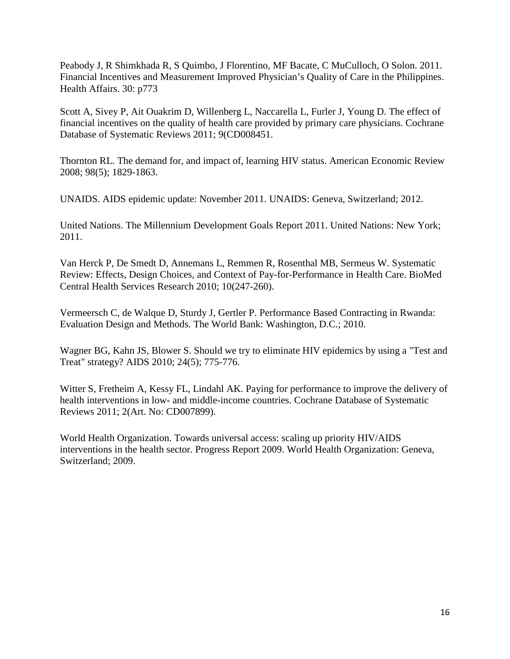<span id="page-17-6"></span>Peabody J, R Shimkhada R, S Quimbo, J Florentino, MF Bacate, C MuCulloch, O Solon. 2011. Financial Incentives and Measurement Improved Physician's Quality of Care in the Philippines. Health Affairs. 30: p773

Scott A, Sivey P, Ait Ouakrim D, Willenberg L, Naccarella L, Furler J, Young D. The effect of financial incentives on the quality of health care provided by primary care physicians. Cochrane Database of Systematic Reviews 2011; 9(CD008451.

<span id="page-17-2"></span>Thornton RL. The demand for, and impact of, learning HIV status. American Economic Review 2008; 98(5); 1829-1863.

<span id="page-17-4"></span>UNAIDS. AIDS epidemic update: November 2011. UNAIDS: Geneva, Switzerland; 2012.

<span id="page-17-1"></span>United Nations. The Millennium Development Goals Report 2011. United Nations: New York; 2011.

<span id="page-17-7"></span>Van Herck P, De Smedt D, Annemans L, Remmen R, Rosenthal MB, Sermeus W. Systematic Review: Effects, Design Choices, and Context of Pay-for-Performance in Health Care. BioMed Central Health Services Research 2010; 10(247-260).

<span id="page-17-8"></span>Vermeersch C, de Walque D, Sturdy J, Gertler P. Performance Based Contracting in Rwanda: Evaluation Design and Methods. The World Bank: Washington, D.C.; 2010.

<span id="page-17-0"></span>Wagner BG, Kahn JS, Blower S. Should we try to eliminate HIV epidemics by using a "Test and Treat" strategy? AIDS 2010; 24(5); 775-776.

<span id="page-17-5"></span>Witter S, Fretheim A, Kessy FL, Lindahl AK. Paying for performance to improve the delivery of health interventions in low- and middle-income countries. Cochrane Database of Systematic Reviews 2011; 2(Art. No: CD007899).

<span id="page-17-3"></span>World Health Organization. Towards universal access: scaling up priority HIV/AIDS interventions in the health sector. Progress Report 2009. World Health Organization: Geneva, Switzerland; 2009.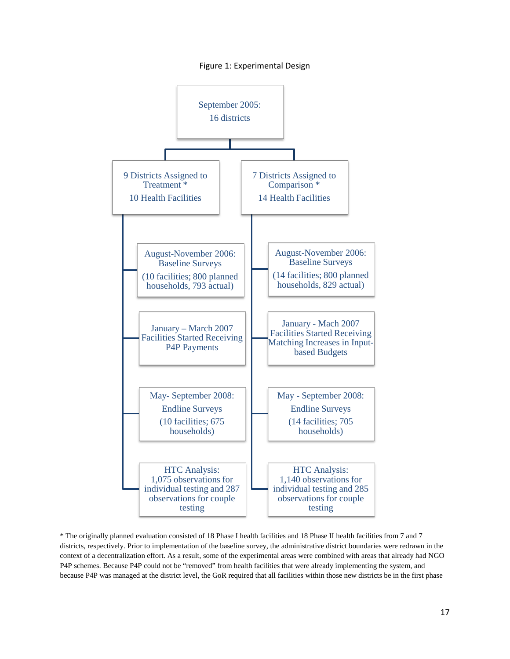Figure 1: Experimental Design



\* The originally planned evaluation consisted of 18 Phase I health facilities and 18 Phase II health facilities from 7 and 7 districts, respectively. Prior to implementation of the baseline survey, the administrative district boundaries were redrawn in the context of a decentralization effort. As a result, some of the experimental areas were combined with areas that already had NGO P4P schemes. Because P4P could not be "removed" from health facilities that were already implementing the system, and because P4P was managed at the district level, the GoR required that all facilities within those new districts be in the first phase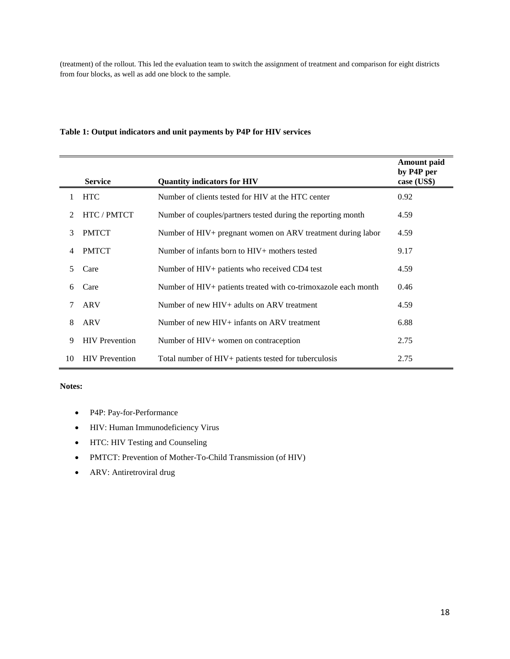(treatment) of the rollout. This led the evaluation team to switch the assignment of treatment and comparison for eight districts from four blocks, as well as add one block to the sample.

|    | <b>Service</b>        | <b>Quantity indicators for HIV</b>                             | <b>Amount</b> paid<br>by P4P per<br>case (US\$) |
|----|-----------------------|----------------------------------------------------------------|-------------------------------------------------|
|    | <b>HTC</b>            | Number of clients tested for HIV at the HTC center             | 0.92                                            |
| 2  | HTC / PMTCT           | Number of couples/partners tested during the reporting month   | 4.59                                            |
| 3  | <b>PMTCT</b>          | Number of HIV+ pregnant women on ARV treatment during labor    | 4.59                                            |
| 4  | <b>PMTCT</b>          | Number of infants born to $HIV+$ mothers tested                | 9.17                                            |
| 5. | Care                  | Number of HIV+ patients who received CD4 test                  | 4.59                                            |
| 6  | Care                  | Number of HIV+ patients treated with co-trimoxazole each month | 0.46                                            |
| 7  | <b>ARV</b>            | Number of new HIV+ adults on ARV treatment                     | 4.59                                            |
| 8  | <b>ARV</b>            | Number of new HIV+ infants on ARV treatment                    | 6.88                                            |
| 9  | <b>HIV</b> Prevention | Number of HIV+ women on contraception                          | 2.75                                            |
| 10 | <b>HIV</b> Prevention | Total number of HIV+ patients tested for tuberculosis          | 2.75                                            |

#### **Table 1: Output indicators and unit payments by P4P for HIV services**

**Notes:**

- P4P: Pay-for-Performance
- HIV: Human Immunodeficiency Virus
- HTC: HIV Testing and Counseling
- PMTCT: Prevention of Mother-To-Child Transmission (of HIV)
- ARV: Antiretroviral drug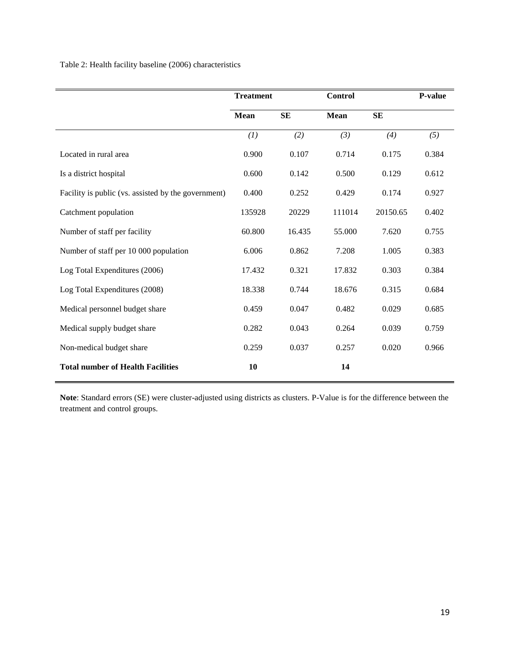Table 2: Health facility baseline (2006) characteristics

|                                                     | <b>Treatment</b> |           | <b>Control</b> |           | P-value |
|-----------------------------------------------------|------------------|-----------|----------------|-----------|---------|
|                                                     | <b>Mean</b>      | <b>SE</b> | <b>Mean</b>    | <b>SE</b> |         |
|                                                     | (1)              | (2)       | (3)            | (4)       | (5)     |
| Located in rural area                               | 0.900            | 0.107     | 0.714          | 0.175     | 0.384   |
| Is a district hospital                              | 0.600            | 0.142     | 0.500          | 0.129     | 0.612   |
| Facility is public (vs. assisted by the government) | 0.400            | 0.252     | 0.429          | 0.174     | 0.927   |
| Catchment population                                | 135928           | 20229     | 111014         | 20150.65  | 0.402   |
| Number of staff per facility                        | 60.800           | 16.435    | 55.000         | 7.620     | 0.755   |
| Number of staff per 10 000 population               | 6.006            | 0.862     | 7.208          | 1.005     | 0.383   |
| Log Total Expenditures (2006)                       | 17.432           | 0.321     | 17.832         | 0.303     | 0.384   |
| Log Total Expenditures (2008)                       | 18.338           | 0.744     | 18.676         | 0.315     | 0.684   |
| Medical personnel budget share                      | 0.459            | 0.047     | 0.482          | 0.029     | 0.685   |
| Medical supply budget share                         | 0.282            | 0.043     | 0.264          | 0.039     | 0.759   |
| Non-medical budget share                            | 0.259            | 0.037     | 0.257          | 0.020     | 0.966   |
| <b>Total number of Health Facilities</b>            | 10               |           | 14             |           |         |

**Note**: Standard errors (SE) were cluster-adjusted using districts as clusters. P-Value is for the difference between the treatment and control groups.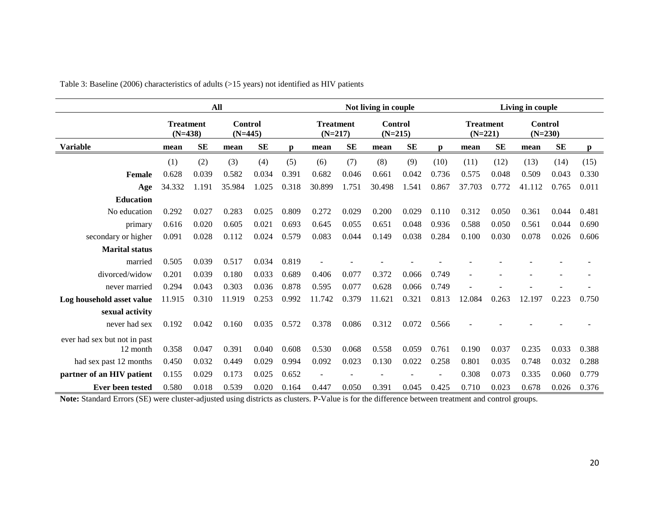| <b>All</b>                   |        |                               |                      |       | Not living in couple |                               |           |                      | Living in couple |              |                               |           |                             |       |              |
|------------------------------|--------|-------------------------------|----------------------|-------|----------------------|-------------------------------|-----------|----------------------|------------------|--------------|-------------------------------|-----------|-----------------------------|-------|--------------|
|                              |        | <b>Treatment</b><br>$(N=438)$ | Control<br>$(N=445)$ |       |                      | <b>Treatment</b><br>$(N=217)$ |           | Control<br>$(N=215)$ |                  |              | <b>Treatment</b><br>$(N=221)$ |           | <b>Control</b><br>$(N=230)$ |       |              |
| <b>Variable</b>              | mean   | <b>SE</b>                     | mean                 | SE    | $\mathbf{p}$         | mean                          | <b>SE</b> | mean                 | SE               | $\mathbf{p}$ | mean                          | <b>SE</b> | mean                        | SE    | $\mathbf{p}$ |
|                              | (1)    | (2)                           | (3)                  | (4)   | (5)                  | (6)                           | (7)       | (8)                  | (9)              | (10)         | (11)                          | (12)      | (13)                        | (14)  | (15)         |
| Female                       | 0.628  | 0.039                         | 0.582                | 0.034 | 0.391                | 0.682                         | 0.046     | 0.661                | 0.042            | 0.736        | 0.575                         | 0.048     | 0.509                       | 0.043 | 0.330        |
| Age                          | 34.332 | 1.191                         | 35.984               | 1.025 | 0.318                | 30.899                        | 1.751     | 30.498               | 1.541            | 0.867        | 37.703                        | 0.772     | 41.112                      | 0.765 | 0.011        |
| <b>Education</b>             |        |                               |                      |       |                      |                               |           |                      |                  |              |                               |           |                             |       |              |
| No education                 | 0.292  | 0.027                         | 0.283                | 0.025 | 0.809                | 0.272                         | 0.029     | 0.200                | 0.029            | 0.110        | 0.312                         | 0.050     | 0.361                       | 0.044 | 0.481        |
| primary                      | 0.616  | 0.020                         | 0.605                | 0.021 | 0.693                | 0.645                         | 0.055     | 0.651                | 0.048            | 0.936        | 0.588                         | 0.050     | 0.561                       | 0.044 | 0.690        |
| secondary or higher          | 0.091  | 0.028                         | 0.112                | 0.024 | 0.579                | 0.083                         | 0.044     | 0.149                | 0.038            | 0.284        | 0.100                         | 0.030     | 0.078                       | 0.026 | 0.606        |
| <b>Marital status</b>        |        |                               |                      |       |                      |                               |           |                      |                  |              |                               |           |                             |       |              |
| married                      | 0.505  | 0.039                         | 0.517                | 0.034 | 0.819                |                               |           |                      |                  |              |                               |           |                             |       |              |
| divorced/widow               | 0.201  | 0.039                         | 0.180                | 0.033 | 0.689                | 0.406                         | 0.077     | 0.372                | 0.066            | 0.749        |                               |           |                             |       |              |
| never married                | 0.294  | 0.043                         | 0.303                | 0.036 | 0.878                | 0.595                         | 0.077     | 0.628                | 0.066            | 0.749        |                               |           |                             |       |              |
| Log household asset value    | 11.915 | 0.310                         | 11.919               | 0.253 | 0.992                | 11.742                        | 0.379     | 11.621               | 0.321            | 0.813        | 12.084                        | 0.263     | 12.197                      | 0.223 | 0.750        |
| sexual activity              |        |                               |                      |       |                      |                               |           |                      |                  |              |                               |           |                             |       |              |
| never had sex                | 0.192  | 0.042                         | 0.160                | 0.035 | 0.572                | 0.378                         | 0.086     | 0.312                | 0.072            | 0.566        |                               |           |                             |       |              |
| ever had sex but not in past |        |                               |                      |       |                      |                               |           |                      |                  |              |                               |           |                             |       |              |
| 12 month                     | 0.358  | 0.047                         | 0.391                | 0.040 | 0.608                | 0.530                         | 0.068     | 0.558                | 0.059            | 0.761        | 0.190                         | 0.037     | 0.235                       | 0.033 | 0.388        |
| had sex past 12 months       | 0.450  | 0.032                         | 0.449                | 0.029 | 0.994                | 0.092                         | 0.023     | 0.130                | 0.022            | 0.258        | 0.801                         | 0.035     | 0.748                       | 0.032 | 0.288        |
| partner of an HIV patient    | 0.155  | 0.029                         | 0.173                | 0.025 | 0.652                |                               |           |                      |                  |              | 0.308                         | 0.073     | 0.335                       | 0.060 | 0.779        |
| Ever been tested             | 0.580  | 0.018                         | 0.539                | 0.020 | 0.164                | 0.447                         | 0.050     | 0.391                | 0.045            | 0.425        | 0.710                         | 0.023     | 0.678                       | 0.026 | 0.376        |

Table 3: Baseline (2006) characteristics of adults (>15 years) not identified as HIV patients

**Note:** Standard Errors (SE) were cluster-adjusted using districts as clusters. P-Value is for the difference between treatment and control groups.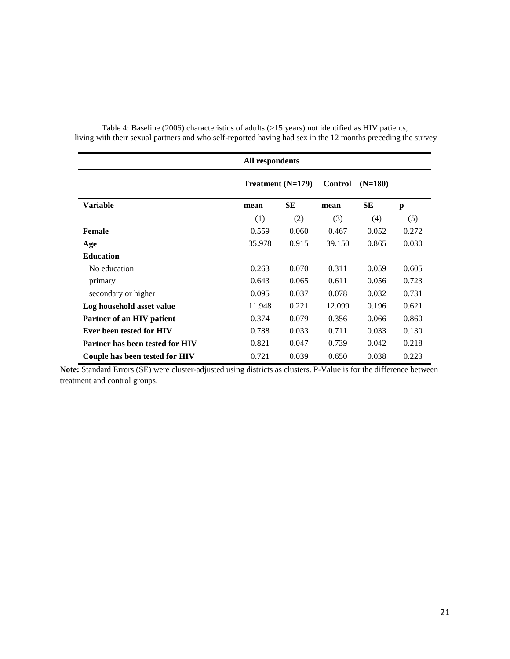| All respondents                 |                     |       |                |           |       |  |
|---------------------------------|---------------------|-------|----------------|-----------|-------|--|
|                                 | Treatment $(N=179)$ |       | <b>Control</b> | $(N=180)$ |       |  |
| <b>Variable</b>                 | mean                | SЕ    | mean           | <b>SE</b> | p     |  |
|                                 | (1)                 | (2)   | (3)            | (4)       | (5)   |  |
| Female                          | 0.559               | 0.060 | 0.467          | 0.052     | 0.272 |  |
| Age                             | 35.978              | 0.915 | 39.150         | 0.865     | 0.030 |  |
| <b>Education</b>                |                     |       |                |           |       |  |
| No education                    | 0.263               | 0.070 | 0.311          | 0.059     | 0.605 |  |
| primary                         | 0.643               | 0.065 | 0.611          | 0.056     | 0.723 |  |
| secondary or higher             | 0.095               | 0.037 | 0.078          | 0.032     | 0.731 |  |
| Log household asset value       | 11.948              | 0.221 | 12.099         | 0.196     | 0.621 |  |
| Partner of an HIV patient       | 0.374               | 0.079 | 0.356          | 0.066     | 0.860 |  |
| Ever been tested for HIV        | 0.788               | 0.033 | 0.711          | 0.033     | 0.130 |  |
| Partner has been tested for HIV | 0.821               | 0.047 | 0.739          | 0.042     | 0.218 |  |
| Couple has been tested for HIV  | 0.721               | 0.039 | 0.650          | 0.038     | 0.223 |  |

Table 4: Baseline (2006) characteristics of adults (>15 years) not identified as HIV patients, living with their sexual partners and who self-reported having had sex in the 12 months preceding the survey

**Note:** Standard Errors (SE) were cluster-adjusted using districts as clusters. P-Value is for the difference between treatment and control groups.